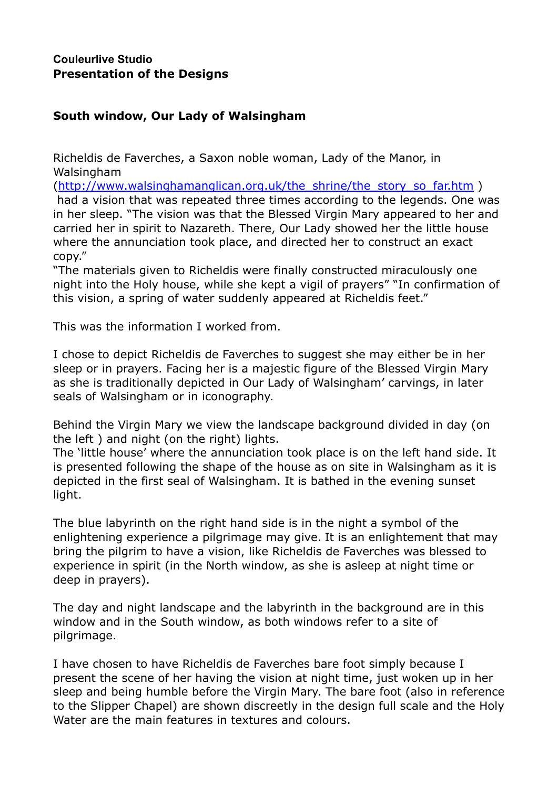## **South window, Our Lady of Walsingham**

Richeldis de Faverches, a Saxon noble woman, Lady of the Manor, in Walsingham

[\(http://www.walsinghamanglican.org.uk/the\\_shrine/the\\_story\\_so\\_far.htm](http://www.walsinghamanglican.org.uk/the_shrine/the_story_so_far.htm) ) had a vision that was repeated three times according to the legends. One was in her sleep. "The vision was that the Blessed Virgin Mary appeared to her and carried her in spirit to Nazareth. There, Our Lady showed her the little house where the annunciation took place, and directed her to construct an exact copy."

"The materials given to Richeldis were finally constructed miraculously one night into the Holy house, while she kept a vigil of prayers" "In confirmation of this vision, a spring of water suddenly appeared at Richeldis feet."

This was the information I worked from.

I chose to depict Richeldis de Faverches to suggest she may either be in her sleep or in prayers. Facing her is a majestic figure of the Blessed Virgin Mary as she is traditionally depicted in Our Lady of Walsingham' carvings, in later seals of Walsingham or in iconography.

Behind the Virgin Mary we view the landscape background divided in day (on the left ) and night (on the right) lights.

The 'little house' where the annunciation took place is on the left hand side. It is presented following the shape of the house as on site in Walsingham as it is depicted in the first seal of Walsingham. It is bathed in the evening sunset light.

The blue labyrinth on the right hand side is in the night a symbol of the enlightening experience a pilgrimage may give. It is an enlightement that may bring the pilgrim to have a vision, like Richeldis de Faverches was blessed to experience in spirit (in the North window, as she is asleep at night time or deep in prayers).

The day and night landscape and the labyrinth in the background are in this window and in the South window, as both windows refer to a site of pilgrimage.

I have chosen to have Richeldis de Faverches bare foot simply because I present the scene of her having the vision at night time, just woken up in her sleep and being humble before the Virgin Mary. The bare foot (also in reference to the Slipper Chapel) are shown discreetly in the design full scale and the Holy Water are the main features in textures and colours.